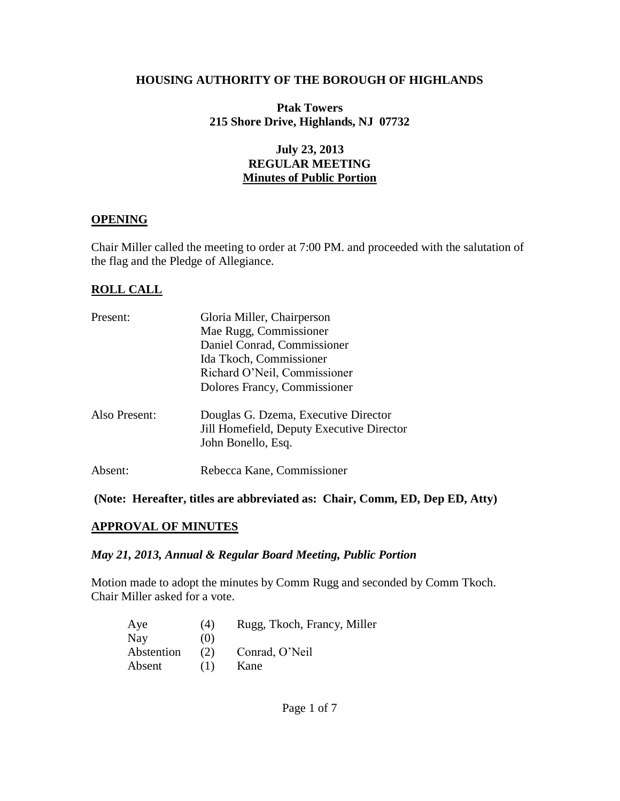### **HOUSING AUTHORITY OF THE BOROUGH OF HIGHLANDS**

**Ptak Towers 215 Shore Drive, Highlands, NJ 07732**

## **July 23, 2013 REGULAR MEETING Minutes of Public Portion**

### **OPENING**

Chair Miller called the meeting to order at 7:00 PM. and proceeded with the salutation of the flag and the Pledge of Allegiance.

## **ROLL CALL**

| Present:      | Gloria Miller, Chairperson                |
|---------------|-------------------------------------------|
|               | Mae Rugg, Commissioner                    |
|               | Daniel Conrad, Commissioner               |
|               | Ida Tkoch, Commissioner                   |
|               | Richard O'Neil, Commissioner              |
|               | Dolores Francy, Commissioner              |
| Also Present: | Douglas G. Dzema, Executive Director      |
|               | Jill Homefield, Deputy Executive Director |
|               | John Bonello, Esq.                        |
| Absent:       | Rebecca Kane, Commissioner                |
|               |                                           |

#### **(Note: Hereafter, titles are abbreviated as: Chair, Comm, ED, Dep ED, Atty)**

#### **APPROVAL OF MINUTES**

#### *May 21, 2013, Annual & Regular Board Meeting, Public Portion*

Motion made to adopt the minutes by Comm Rugg and seconded by Comm Tkoch. Chair Miller asked for a vote.

| Aye        | (4) | Rugg, Tkoch, Francy, Miller |
|------------|-----|-----------------------------|
| Nay        | (0) |                             |
| Abstention | (2) | Conrad, O'Neil              |
| Absent     | (1) | Kane                        |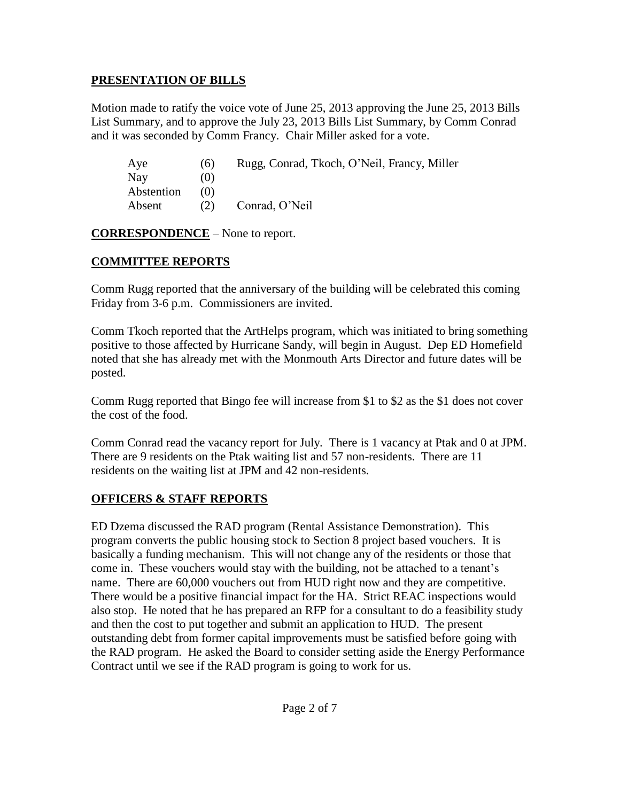# **PRESENTATION OF BILLS**

Motion made to ratify the voice vote of June 25, 2013 approving the June 25, 2013 Bills List Summary, and to approve the July 23, 2013 Bills List Summary, by Comm Conrad and it was seconded by Comm Francy. Chair Miller asked for a vote.

| Aye        | (6) | Rugg, Conrad, Tkoch, O'Neil, Francy, Miller |
|------------|-----|---------------------------------------------|
| Nay        | (0) |                                             |
| Abstention | (1) |                                             |
| Absent     | (2) | Conrad, O'Neil                              |

**CORRESPONDENCE** – None to report.

# **COMMITTEE REPORTS**

Comm Rugg reported that the anniversary of the building will be celebrated this coming Friday from 3-6 p.m. Commissioners are invited.

Comm Tkoch reported that the ArtHelps program, which was initiated to bring something positive to those affected by Hurricane Sandy, will begin in August. Dep ED Homefield noted that she has already met with the Monmouth Arts Director and future dates will be posted.

Comm Rugg reported that Bingo fee will increase from \$1 to \$2 as the \$1 does not cover the cost of the food.

Comm Conrad read the vacancy report for July. There is 1 vacancy at Ptak and 0 at JPM. There are 9 residents on the Ptak waiting list and 57 non-residents. There are 11 residents on the waiting list at JPM and 42 non-residents.

# **OFFICERS & STAFF REPORTS**

ED Dzema discussed the RAD program (Rental Assistance Demonstration). This program converts the public housing stock to Section 8 project based vouchers. It is basically a funding mechanism. This will not change any of the residents or those that come in. These vouchers would stay with the building, not be attached to a tenant's name. There are 60,000 vouchers out from HUD right now and they are competitive. There would be a positive financial impact for the HA. Strict REAC inspections would also stop. He noted that he has prepared an RFP for a consultant to do a feasibility study and then the cost to put together and submit an application to HUD. The present outstanding debt from former capital improvements must be satisfied before going with the RAD program. He asked the Board to consider setting aside the Energy Performance Contract until we see if the RAD program is going to work for us.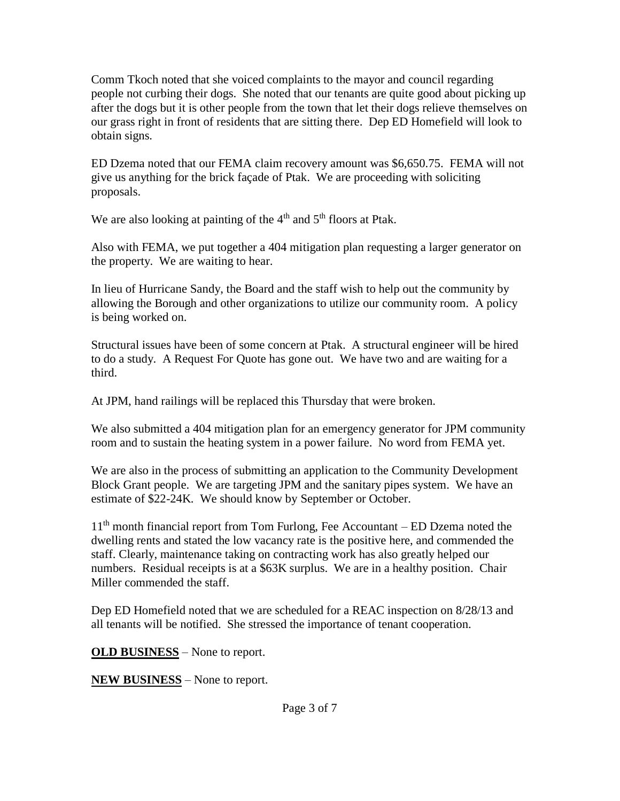Comm Tkoch noted that she voiced complaints to the mayor and council regarding people not curbing their dogs. She noted that our tenants are quite good about picking up after the dogs but it is other people from the town that let their dogs relieve themselves on our grass right in front of residents that are sitting there. Dep ED Homefield will look to obtain signs.

ED Dzema noted that our FEMA claim recovery amount was \$6,650.75. FEMA will not give us anything for the brick façade of Ptak. We are proceeding with soliciting proposals.

We are also looking at painting of the  $4<sup>th</sup>$  and  $5<sup>th</sup>$  floors at Ptak.

Also with FEMA, we put together a 404 mitigation plan requesting a larger generator on the property. We are waiting to hear.

In lieu of Hurricane Sandy, the Board and the staff wish to help out the community by allowing the Borough and other organizations to utilize our community room. A policy is being worked on.

Structural issues have been of some concern at Ptak. A structural engineer will be hired to do a study. A Request For Quote has gone out. We have two and are waiting for a third.

At JPM, hand railings will be replaced this Thursday that were broken.

We also submitted a 404 mitigation plan for an emergency generator for JPM community room and to sustain the heating system in a power failure. No word from FEMA yet.

We are also in the process of submitting an application to the Community Development Block Grant people. We are targeting JPM and the sanitary pipes system. We have an estimate of \$22-24K. We should know by September or October.

 $11<sup>th</sup>$  month financial report from Tom Furlong, Fee Accountant – ED Dzema noted the dwelling rents and stated the low vacancy rate is the positive here, and commended the staff. Clearly, maintenance taking on contracting work has also greatly helped our numbers. Residual receipts is at a \$63K surplus. We are in a healthy position. Chair Miller commended the staff.

Dep ED Homefield noted that we are scheduled for a REAC inspection on 8/28/13 and all tenants will be notified. She stressed the importance of tenant cooperation.

**OLD BUSINESS** – None to report.

**NEW BUSINESS** – None to report.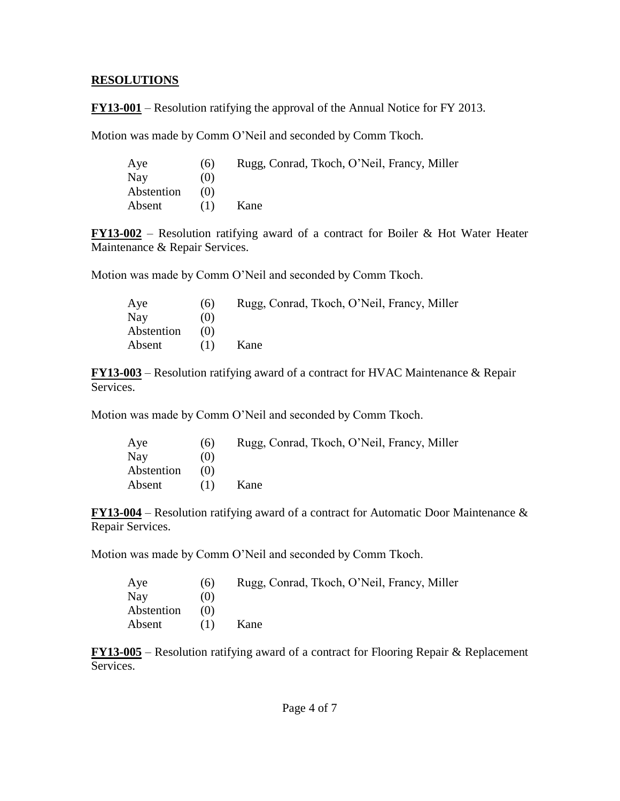### **RESOLUTIONS**

**FY13-001** – Resolution ratifying the approval of the Annual Notice for FY 2013.

Motion was made by Comm O'Neil and seconded by Comm Tkoch.

| Aye        | (6) | Rugg, Conrad, Tkoch, O'Neil, Francy, Miller |
|------------|-----|---------------------------------------------|
| Nay        | (0) |                                             |
| Abstention | (0) |                                             |
| Absent     | (1) | Kane                                        |

**FY13-002** – Resolution ratifying award of a contract for Boiler & Hot Water Heater Maintenance & Repair Services.

Motion was made by Comm O'Neil and seconded by Comm Tkoch.

| Aye        | (6) | Rugg, Conrad, Tkoch, O'Neil, Francy, Miller |
|------------|-----|---------------------------------------------|
| Nay        | (0) |                                             |
| Abstention | (0) |                                             |
| Absent     | (1) | Kane                                        |

**FY13-003** – Resolution ratifying award of a contract for HVAC Maintenance & Repair Services.

Motion was made by Comm O'Neil and seconded by Comm Tkoch.

| Aye        | (6) | Rugg, Conrad, Tkoch, O'Neil, Francy, Miller |
|------------|-----|---------------------------------------------|
| <b>Nay</b> | (0) |                                             |
| Abstention | (0) |                                             |
| Absent     | (1) | Kane                                        |

**FY13-004** – Resolution ratifying award of a contract for Automatic Door Maintenance & Repair Services.

Motion was made by Comm O'Neil and seconded by Comm Tkoch.

| Aye        | (6) | Rugg, Conrad, Tkoch, O'Neil, Francy, Miller |
|------------|-----|---------------------------------------------|
| <b>Nay</b> | (0) |                                             |
| Abstention | (0) |                                             |
| Absent     | (1) | Kane                                        |

**FY13-005** – Resolution ratifying award of a contract for Flooring Repair & Replacement **Services**.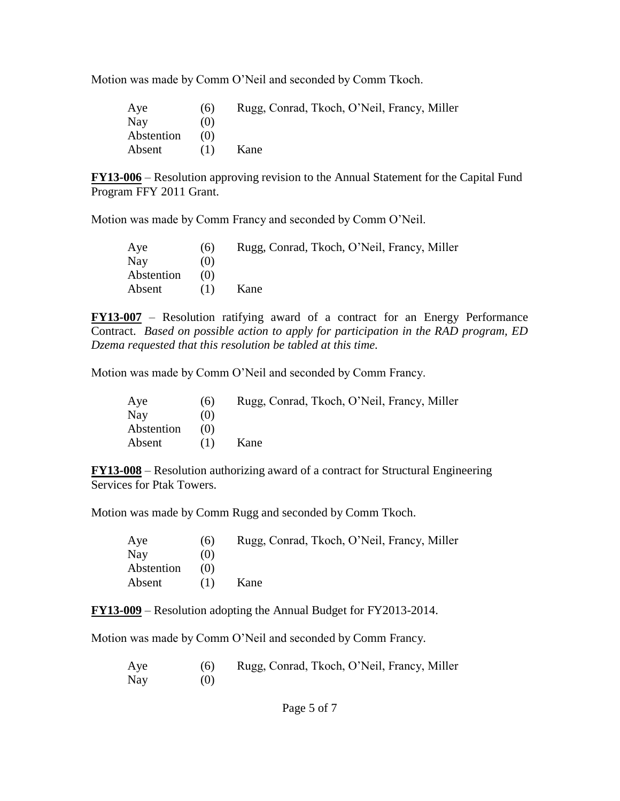Motion was made by Comm O'Neil and seconded by Comm Tkoch.

| Aye        | (6) | Rugg, Conrad, Tkoch, O'Neil, Francy, Miller |
|------------|-----|---------------------------------------------|
| Nay        | (0) |                                             |
| Abstention | (0) |                                             |
| Absent     | (1) | Kane                                        |

**FY13-006** – Resolution approving revision to the Annual Statement for the Capital Fund Program FFY 2011 Grant.

Motion was made by Comm Francy and seconded by Comm O'Neil.

| Aye        | (6) | Rugg, Conrad, Tkoch, O'Neil, Francy, Miller |
|------------|-----|---------------------------------------------|
| <b>Nay</b> | (0) |                                             |
| Abstention | (0) |                                             |
| Absent     | (1) | Kane                                        |

**FY13-007** – Resolution ratifying award of a contract for an Energy Performance Contract. *Based on possible action to apply for participation in the RAD program, ED Dzema requested that this resolution be tabled at this time.*

Motion was made by Comm O'Neil and seconded by Comm Francy.

| Aye        | (6)  | Rugg, Conrad, Tkoch, O'Neil, Francy, Miller |
|------------|------|---------------------------------------------|
| Nay        | (()) |                                             |
| Abstention | (1)  |                                             |
| Absent     | (1)  | Kane                                        |

**FY13-008** – Resolution authorizing award of a contract for Structural Engineering Services for Ptak Towers.

Motion was made by Comm Rugg and seconded by Comm Tkoch.

| Aye        | (6) | Rugg, Conrad, Tkoch, O'Neil, Francy, Miller |
|------------|-----|---------------------------------------------|
| Nay        | (0) |                                             |
| Abstention | (0) |                                             |
| Absent     | (1) | Kane                                        |

**FY13-009** – Resolution adopting the Annual Budget for FY2013-2014.

Motion was made by Comm O'Neil and seconded by Comm Francy.

| Aye | (6) | Rugg, Conrad, Tkoch, O'Neil, Francy, Miller |
|-----|-----|---------------------------------------------|
| Nay | (0) |                                             |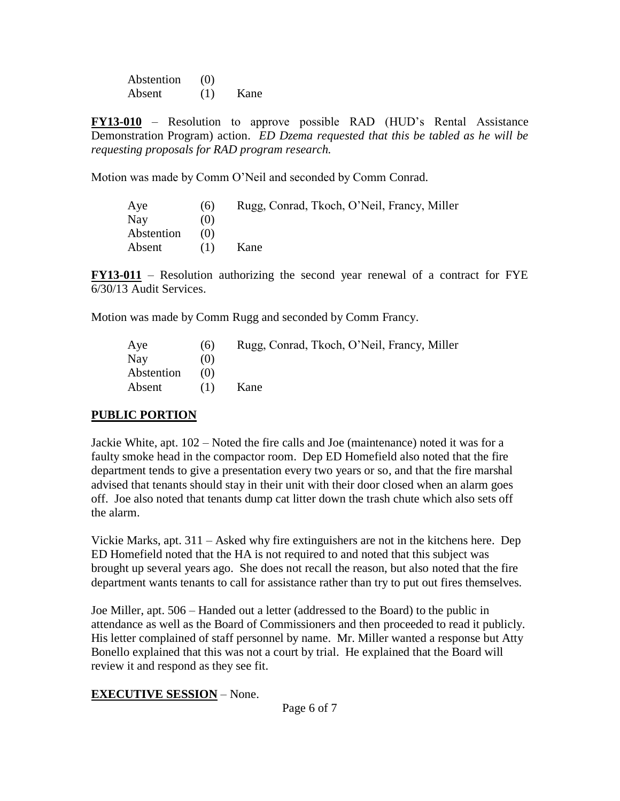Abstention (0) Absent (1) Kane

**FY13-010** – Resolution to approve possible RAD (HUD's Rental Assistance Demonstration Program) action. *ED Dzema requested that this be tabled as he will be requesting proposals for RAD program research.*

Motion was made by Comm O'Neil and seconded by Comm Conrad.

| Aye        | (6) | Rugg, Conrad, Tkoch, O'Neil, Francy, Miller |
|------------|-----|---------------------------------------------|
| Nay        | (0) |                                             |
| Abstention | (0) |                                             |
| Absent     | (1) | Kane                                        |

**FY13-011** – Resolution authorizing the second year renewal of a contract for FYE 6/30/13 Audit Services.

Motion was made by Comm Rugg and seconded by Comm Francy.

| Aye        | (6) | Rugg, Conrad, Tkoch, O'Neil, Francy, Miller |
|------------|-----|---------------------------------------------|
| Nay        | (0) |                                             |
| Abstention | (0) |                                             |
| Absent     | (1) | Kane                                        |

## **PUBLIC PORTION**

Jackie White, apt. 102 – Noted the fire calls and Joe (maintenance) noted it was for a faulty smoke head in the compactor room. Dep ED Homefield also noted that the fire department tends to give a presentation every two years or so, and that the fire marshal advised that tenants should stay in their unit with their door closed when an alarm goes off. Joe also noted that tenants dump cat litter down the trash chute which also sets off the alarm.

Vickie Marks, apt. 311 – Asked why fire extinguishers are not in the kitchens here. Dep ED Homefield noted that the HA is not required to and noted that this subject was brought up several years ago. She does not recall the reason, but also noted that the fire department wants tenants to call for assistance rather than try to put out fires themselves.

Joe Miller, apt. 506 – Handed out a letter (addressed to the Board) to the public in attendance as well as the Board of Commissioners and then proceeded to read it publicly. His letter complained of staff personnel by name. Mr. Miller wanted a response but Atty Bonello explained that this was not a court by trial. He explained that the Board will review it and respond as they see fit.

## **EXECUTIVE SESSION** – None.